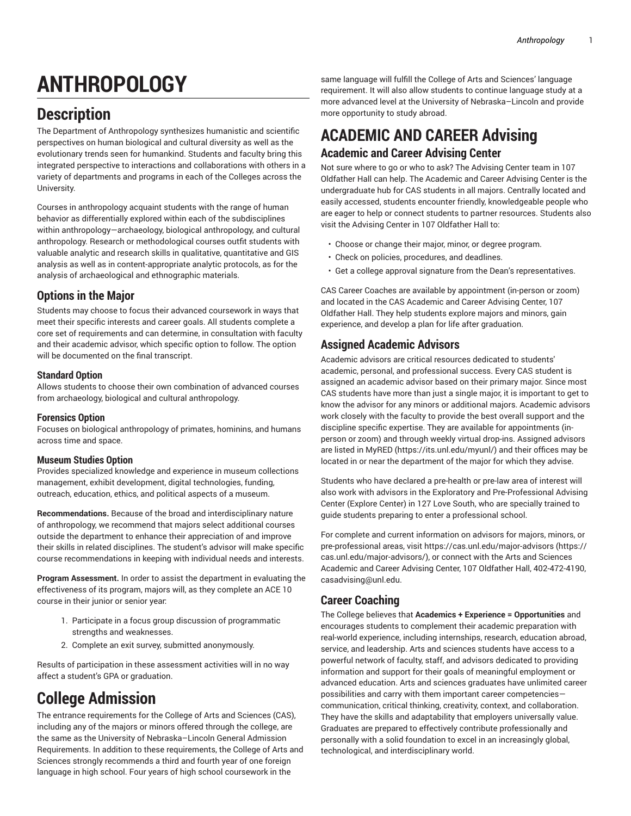# **ANTHROPOLOGY**

# **Description**

The Department of Anthropology synthesizes humanistic and scientific perspectives on human biological and cultural diversity as well as the evolutionary trends seen for humankind. Students and faculty bring this integrated perspective to interactions and collaborations with others in a variety of departments and programs in each of the Colleges across the University.

Courses in anthropology acquaint students with the range of human behavior as differentially explored within each of the subdisciplines within anthropology—archaeology, biological anthropology, and cultural anthropology. Research or methodological courses outfit students with valuable analytic and research skills in qualitative, quantitative and GIS analysis as well as in content-appropriate analytic protocols, as for the analysis of archaeological and ethnographic materials.

# **Options in the Major**

Students may choose to focus their advanced coursework in ways that meet their specific interests and career goals. All students complete a core set of requirements and can determine, in consultation with faculty and their academic advisor, which specific option to follow. The option will be documented on the final transcript.

# **Standard Option**

Allows students to choose their own combination of advanced courses from archaeology, biological and cultural anthropology.

# **Forensics Option**

Focuses on biological anthropology of primates, hominins, and humans across time and space.

# **Museum Studies Option**

Provides specialized knowledge and experience in museum collections management, exhibit development, digital technologies, funding, outreach, education, ethics, and political aspects of a museum.

**Recommendations.** Because of the broad and interdisciplinary nature of anthropology, we recommend that majors select additional courses outside the department to enhance their appreciation of and improve their skills in related disciplines. The student's advisor will make specific course recommendations in keeping with individual needs and interests.

**Program Assessment.** In order to assist the department in evaluating the effectiveness of its program, majors will, as they complete an ACE 10 course in their junior or senior year:

- 1. Participate in a focus group discussion of programmatic strengths and weaknesses.
- 2. Complete an exit survey, submitted anonymously.

Results of participation in these assessment activities will in no way affect a student's GPA or graduation.

# **College Admission**

The entrance requirements for the College of Arts and Sciences (CAS), including any of the majors or minors offered through the college, are the same as the University of Nebraska–Lincoln General Admission Requirements. In addition to these requirements, the College of Arts and Sciences strongly recommends a third and fourth year of one foreign language in high school. Four years of high school coursework in the

same language will fulfill the College of Arts and Sciences' language requirement. It will also allow students to continue language study at a more advanced level at the University of Nebraska–Lincoln and provide more opportunity to study abroad.

# **ACADEMIC AND CAREER Advising Academic and Career Advising Center**

Not sure where to go or who to ask? The Advising Center team in 107 Oldfather Hall can help. The Academic and Career Advising Center is the undergraduate hub for CAS students in all majors. Centrally located and easily accessed, students encounter friendly, knowledgeable people who are eager to help or connect students to partner resources. Students also visit the Advising Center in 107 Oldfather Hall to:

- Choose or change their major, minor, or degree program.
- Check on policies, procedures, and deadlines.
- Get a college approval signature from the Dean's representatives.

CAS Career Coaches are available by appointment (in-person or zoom) and located in the CAS Academic and Career Advising Center, 107 Oldfather Hall. They help students explore majors and minors, gain experience, and develop a plan for life after graduation.

# **Assigned Academic Advisors**

Academic advisors are critical resources dedicated to students' academic, personal, and professional success. Every CAS student is assigned an academic advisor based on their primary major. Since most CAS students have more than just a single major, it is important to get to know the advisor for any minors or additional majors. Academic advisors work closely with the faculty to provide the best overall support and the discipline specific expertise. They are available for appointments (inperson or zoom) and through weekly virtual drop-ins. Assigned advisors are listed in [MyRED](https://its.unl.edu/myunl/) ([https://its.unl.edu/myunl/\)](https://its.unl.edu/myunl/) and their offices may be located in or near the department of the major for which they advise.

Students who have declared a pre-health or pre-law area of interest will also work with advisors in the Exploratory and Pre-Professional Advising Center (Explore Center) in 127 Love South, who are specially trained to guide students preparing to enter a professional school.

For complete and current information on advisors for majors, minors, or pre-professional areas, visit [https://cas.unl.edu/major-advisors \(https://](https://cas.unl.edu/major-advisors/) [cas.unl.edu/major-advisors/](https://cas.unl.edu/major-advisors/)), or connect with the Arts and Sciences Academic and Career Advising Center, 107 Oldfather Hall, 402-472-4190, [casadvising@unl.edu](mailto: casadvising@unl.edu).

# **Career Coaching**

The College believes that **Academics + Experience = Opportunities** and encourages students to complement their academic preparation with real-world experience, including internships, research, education abroad, service, and leadership. Arts and sciences students have access to a powerful network of faculty, staff, and advisors dedicated to providing information and support for their goals of meaningful employment or advanced education. Arts and sciences graduates have unlimited career possibilities and carry with them important career competencies communication, critical thinking, creativity, context, and collaboration. They have the skills and adaptability that employers universally value. Graduates are prepared to effectively contribute professionally and personally with a solid foundation to excel in an increasingly global, technological, and interdisciplinary world.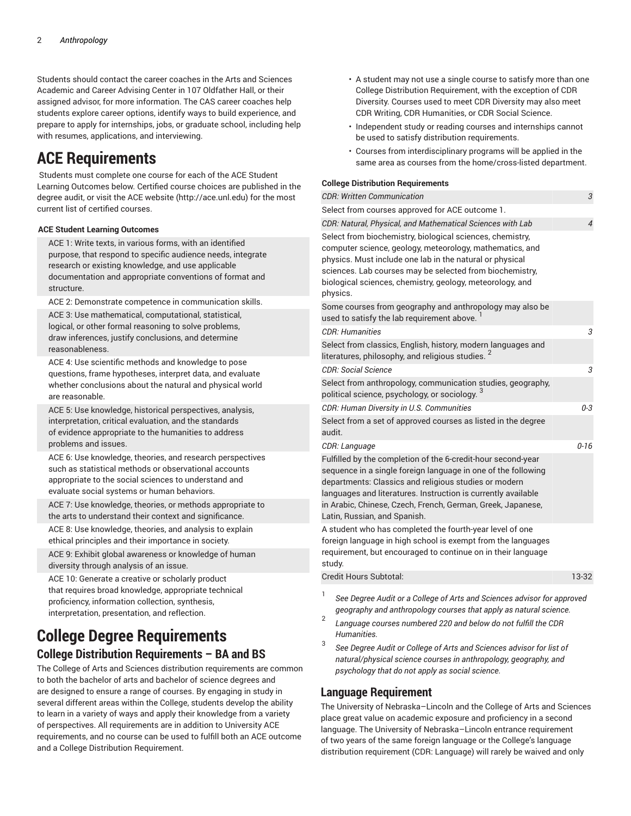Students should contact the career coaches in the Arts and Sciences Academic and Career Advising Center in 107 Oldfather Hall, or their assigned advisor, for more information. The CAS career coaches help students explore career options, identify ways to build experience, and prepare to apply for internships, jobs, or graduate school, including help with resumes, applications, and interviewing.

# **ACE Requirements**

 Students must complete one course for each of the ACE Student Learning Outcomes below. Certified course choices are published in the degree audit, or visit the ACE [website \(http://ace.unl.edu](http://ace.unl.edu)) for the most current list of certified courses.

# **ACE Student Learning Outcomes**

ACE 1: Write texts, in various forms, with an identified purpose, that respond to specific audience needs, integrate research or existing knowledge, and use applicable documentation and appropriate conventions of format and structure.

ACE 2: Demonstrate competence in communication skills.

ACE 3: Use mathematical, computational, statistical, logical, or other formal reasoning to solve problems, draw inferences, justify conclusions, and determine reasonableness.

ACE 4: Use scientific methods and knowledge to pose questions, frame hypotheses, interpret data, and evaluate whether conclusions about the natural and physical world are reasonable.

ACE 5: Use knowledge, historical perspectives, analysis, interpretation, critical evaluation, and the standards of evidence appropriate to the humanities to address problems and issues.

ACE 6: Use knowledge, theories, and research perspectives such as statistical methods or observational accounts appropriate to the social sciences to understand and evaluate social systems or human behaviors.

ACE 7: Use knowledge, theories, or methods appropriate to the arts to understand their context and significance.

ACE 8: Use knowledge, theories, and analysis to explain ethical principles and their importance in society.

ACE 9: Exhibit global awareness or knowledge of human diversity through analysis of an issue.

ACE 10: Generate a creative or scholarly product that requires broad knowledge, appropriate technical proficiency, information collection, synthesis, interpretation, presentation, and reflection.

# **College Degree Requirements College Distribution Requirements – BA and BS**

The College of Arts and Sciences distribution requirements are common to both the bachelor of arts and bachelor of science degrees and are designed to ensure a range of courses. By engaging in study in several different areas within the College, students develop the ability to learn in a variety of ways and apply their knowledge from a variety of perspectives. All requirements are in addition to University ACE requirements, and no course can be used to fulfill both an ACE outcome and a College Distribution Requirement.

- A student may not use a single course to satisfy more than one College Distribution Requirement, with the exception of CDR Diversity. Courses used to meet CDR Diversity may also meet CDR Writing, CDR Humanities, or CDR Social Science.
- Independent study or reading courses and internships cannot be used to satisfy distribution requirements.
- Courses from interdisciplinary programs will be applied in the same area as courses from the home/cross-listed department.

## **College Distribution Requirements**

| <b>CDR: Written Communication</b>                                                                                                                                                                                                                                                                                                                      | $\sqrt{3}$     |
|--------------------------------------------------------------------------------------------------------------------------------------------------------------------------------------------------------------------------------------------------------------------------------------------------------------------------------------------------------|----------------|
| Select from courses approved for ACE outcome 1.                                                                                                                                                                                                                                                                                                        |                |
| CDR: Natural, Physical, and Mathematical Sciences with Lab                                                                                                                                                                                                                                                                                             | $\overline{4}$ |
| Select from biochemistry, biological sciences, chemistry,<br>computer science, geology, meteorology, mathematics, and<br>physics. Must include one lab in the natural or physical<br>sciences. Lab courses may be selected from biochemistry,<br>biological sciences, chemistry, geology, meteorology, and<br>physics.                                 |                |
| Some courses from geography and anthropology may also be<br>used to satisfy the lab requirement above.                                                                                                                                                                                                                                                 |                |
| <i>CDR: Humanities</i>                                                                                                                                                                                                                                                                                                                                 | 3              |
| Select from classics, English, history, modern languages and<br>literatures, philosophy, and religious studies. $^{\mathsf{2}}$                                                                                                                                                                                                                        |                |
| <b>CDR: Social Science</b>                                                                                                                                                                                                                                                                                                                             | 3              |
| Select from anthropology, communication studies, geography,<br>political science, psychology, or sociology. $^3$                                                                                                                                                                                                                                       |                |
| CDR: Human Diversity in U.S. Communities                                                                                                                                                                                                                                                                                                               | 0-3            |
| Select from a set of approved courses as listed in the degree<br>audit.                                                                                                                                                                                                                                                                                |                |
| CDR: Language                                                                                                                                                                                                                                                                                                                                          | $0 - 16$       |
| Fulfilled by the completion of the 6-credit-hour second-year<br>sequence in a single foreign language in one of the following<br>departments: Classics and religious studies or modern<br>languages and literatures. Instruction is currently available<br>in Arabic, Chinese, Czech, French, German, Greek, Japanese,<br>Latin, Russian, and Spanish. |                |
| A student who has completed the fourth-year level of one<br>foreign language in high school is exempt from the languages<br>requirement, but encouraged to continue on in their language<br>study.                                                                                                                                                     |                |
| Credit Hours Subtotal:                                                                                                                                                                                                                                                                                                                                 | 13-32          |
| 1<br>See Degree Audit or a College of Arts and Sciences advisor for approved<br>geography and anthropology courses that apply as natural science.                                                                                                                                                                                                      |                |

- 2 *Language courses numbered 220 and below do not fulfill the CDR Humanities.*
- 3 *See Degree Audit or College of Arts and Sciences advisor for list of natural/physical science courses in anthropology, geography, and psychology that do not apply as social science.*

# **Language Requirement**

The University of Nebraska–Lincoln and the College of Arts and Sciences place great value on academic exposure and proficiency in a second language. The University of Nebraska–Lincoln entrance requirement of two years of the same foreign language or the College's language distribution requirement (CDR: Language) will rarely be waived and only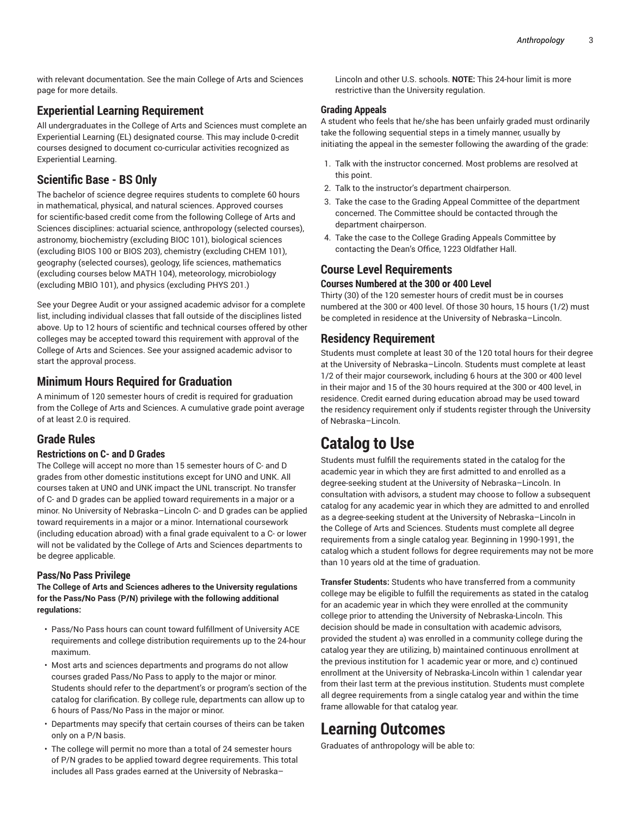with relevant documentation. See the main College of Arts and Sciences page for more details.

# **Experiential Learning Requirement**

All undergraduates in the College of Arts and Sciences must complete an Experiential Learning (EL) designated course. This may include 0-credit courses designed to document co-curricular activities recognized as Experiential Learning.

# **Scientific Base - BS Only**

The bachelor of science degree requires students to complete 60 hours in mathematical, physical, and natural sciences. Approved courses for scientific-based credit come from the following College of Arts and Sciences disciplines: actuarial science, anthropology (selected courses), astronomy, biochemistry (excluding [BIOC 101\)](/search/?P=BIOC%20101), biological sciences (excluding [BIOS 100](/search/?P=BIOS%20100) or [BIOS 203](/search/?P=BIOS%20203)), chemistry (excluding [CHEM 101](/search/?P=CHEM%20101)), geography (selected courses), geology, life sciences, mathematics (excluding courses below [MATH](/search/?P=MATH%20104) 104), meteorology, microbiology (excluding [MBIO 101\)](/search/?P=MBIO%20101), and physics (excluding [PHYS](/search/?P=PHYS%20201) 201.)

See your Degree Audit or your assigned academic advisor for a complete list, including individual classes that fall outside of the disciplines listed above. Up to 12 hours of scientific and technical courses offered by other colleges may be accepted toward this requirement with approval of the College of Arts and Sciences. See your assigned academic advisor to start the approval process.

# **Minimum Hours Required for Graduation**

A minimum of 120 semester hours of credit is required for graduation from the College of Arts and Sciences. A cumulative grade point average of at least 2.0 is required.

# **Grade Rules**

# **Restrictions on C- and D Grades**

The College will accept no more than 15 semester hours of C- and D grades from other domestic institutions except for UNO and UNK. All courses taken at UNO and UNK impact the UNL transcript. No transfer of C- and D grades can be applied toward requirements in a major or a minor. No University of Nebraska–Lincoln C- and D grades can be applied toward requirements in a major or a minor. International coursework (including education abroad) with a final grade equivalent to a C- or lower will not be validated by the College of Arts and Sciences departments to be degree applicable.

# **Pass/No Pass Privilege**

**The College of Arts and Sciences adheres to the University regulations for the Pass/No Pass (P/N) privilege with the following additional regulations:**

- Pass/No Pass hours can count toward fulfillment of University ACE requirements and college distribution requirements up to the 24-hour maximum.
- Most arts and sciences departments and programs do not allow courses graded Pass/No Pass to apply to the major or minor. Students should refer to the department's or program's section of the catalog for clarification. By college rule, departments can allow up to 6 hours of Pass/No Pass in the major or minor.
- Departments may specify that certain courses of theirs can be taken only on a P/N basis.
- The college will permit no more than a total of 24 semester hours of P/N grades to be applied toward degree requirements. This total includes all Pass grades earned at the University of Nebraska–

Lincoln and other U.S. schools. **NOTE:** This 24-hour limit is more restrictive than the University regulation.

# **Grading Appeals**

A student who feels that he/she has been unfairly graded must ordinarily take the following sequential steps in a timely manner, usually by initiating the appeal in the semester following the awarding of the grade:

- 1. Talk with the instructor concerned. Most problems are resolved at this point.
- 2. Talk to the instructor's department chairperson.
- 3. Take the case to the Grading Appeal Committee of the department concerned. The Committee should be contacted through the department chairperson.
- 4. Take the case to the College Grading Appeals Committee by contacting the Dean's Office, 1223 Oldfather Hall.

# **Course Level Requirements**

# **Courses Numbered at the 300 or 400 Level**

Thirty (30) of the 120 semester hours of credit must be in courses numbered at the 300 or 400 level. Of those 30 hours, 15 hours (1/2) must be completed in residence at the University of Nebraska–Lincoln.

# **Residency Requirement**

Students must complete at least 30 of the 120 total hours for their degree at the University of Nebraska–Lincoln. Students must complete at least 1/2 of their major coursework, including 6 hours at the 300 or 400 level in their major and 15 of the 30 hours required at the 300 or 400 level, in residence. Credit earned during education abroad may be used toward the residency requirement only if students register through the University of Nebraska–Lincoln.

# **Catalog to Use**

Students must fulfill the requirements stated in the catalog for the academic year in which they are first admitted to and enrolled as a degree-seeking student at the University of Nebraska–Lincoln. In consultation with advisors, a student may choose to follow a subsequent catalog for any academic year in which they are admitted to and enrolled as a degree-seeking student at the University of Nebraska–Lincoln in the College of Arts and Sciences. Students must complete all degree requirements from a single catalog year. Beginning in 1990-1991, the catalog which a student follows for degree requirements may not be more than 10 years old at the time of graduation.

**Transfer Students:** Students who have transferred from a community college may be eligible to fulfill the requirements as stated in the catalog for an academic year in which they were enrolled at the community college prior to attending the University of Nebraska-Lincoln. This decision should be made in consultation with academic advisors, provided the student a) was enrolled in a community college during the catalog year they are utilizing, b) maintained continuous enrollment at the previous institution for 1 academic year or more, and c) continued enrollment at the University of Nebraska-Lincoln within 1 calendar year from their last term at the previous institution. Students must complete all degree requirements from a single catalog year and within the time frame allowable for that catalog year.

# **Learning Outcomes**

Graduates of anthropology will be able to: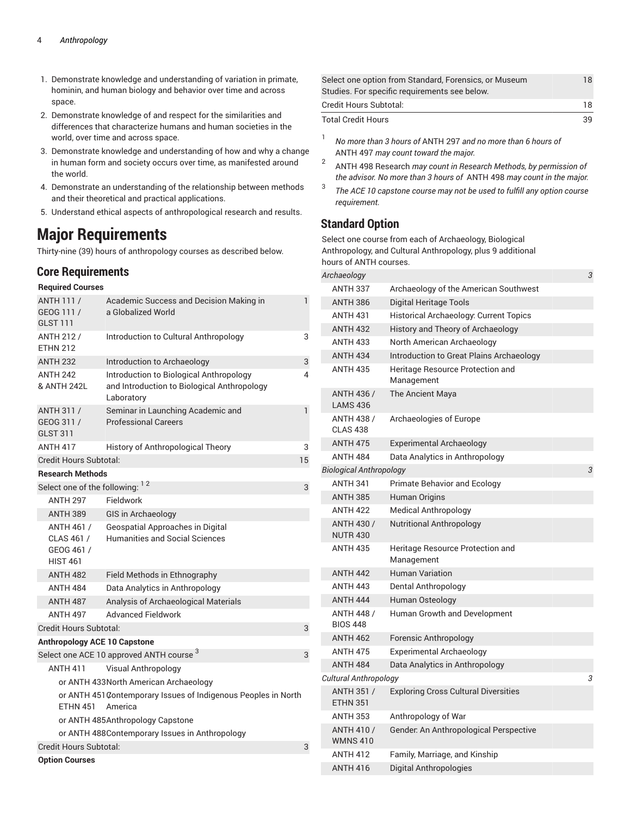- 1. Demonstrate knowledge and understanding of variation in primate, hominin, and human biology and behavior over time and across space.
- 2. Demonstrate knowledge of and respect for the similarities and differences that characterize humans and human societies in the world, over time and across space.
- 3. Demonstrate knowledge and understanding of how and why a change in human form and society occurs over time, as manifested around the world.
- 4. Demonstrate an understanding of the relationship between methods and their theoretical and practical applications.
- 5. Understand ethical aspects of anthropological research and results.

# **Major Requirements**

Thirty-nine (39) hours of anthropology courses as described below.

# **Core Requirements**

# **Required Courses**

| ANTH 111 /<br>GEOG 111 /<br><b>GLST 111</b>                                                  | Academic Success and Decision Making in<br>a Globalized World                                        | 1  |
|----------------------------------------------------------------------------------------------|------------------------------------------------------------------------------------------------------|----|
| <b>ANTH 212/</b><br><b>ETHN 212</b>                                                          | Introduction to Cultural Anthropology                                                                | 3  |
| <b>ANTH 232</b>                                                                              | Introduction to Archaeology                                                                          | 3  |
| <b>ANTH 242</b><br>& ANTH 242L                                                               | Introduction to Biological Anthropology<br>and Introduction to Biological Anthropology<br>Laboratory | 4  |
| <b>ANTH 311/</b><br>GEOG 311 /<br><b>GLST 311</b>                                            | Seminar in Launching Academic and<br><b>Professional Careers</b>                                     | 1  |
| <b>ANTH 417</b>                                                                              | History of Anthropological Theory                                                                    | 3  |
| Credit Hours Subtotal:                                                                       |                                                                                                      | 15 |
| <b>Research Methods</b>                                                                      |                                                                                                      |    |
| Select one of the following: 12                                                              |                                                                                                      | 3  |
| <b>ANTH 297</b>                                                                              | Fieldwork                                                                                            |    |
| <b>ANTH 389</b>                                                                              | <b>GIS in Archaeology</b>                                                                            |    |
| ANTH 461 /<br>CLAS 461 /<br>GEOG 461 /<br><b>HIST 461</b>                                    | Geospatial Approaches in Digital<br><b>Humanities and Social Sciences</b>                            |    |
| <b>ANTH 482</b>                                                                              | Field Methods in Ethnography                                                                         |    |
| <b>ANTH 484</b>                                                                              | Data Analytics in Anthropology                                                                       |    |
| <b>ANTH 487</b>                                                                              | Analysis of Archaeological Materials                                                                 |    |
| <b>ANTH 497</b>                                                                              | <b>Advanced Fieldwork</b>                                                                            |    |
| Credit Hours Subtotal:                                                                       |                                                                                                      | 3  |
| <b>Anthropology ACE 10 Capstone</b>                                                          |                                                                                                      |    |
|                                                                                              | Select one ACE 10 approved ANTH course 3                                                             | 3  |
| <b>ANTH 411</b>                                                                              | <b>Visual Anthropology</b>                                                                           |    |
|                                                                                              | or ANTH 433North American Archaeology                                                                |    |
| or ANTH 451 Contemporary Issues of Indigenous Peoples in North<br><b>ETHN 451</b><br>America |                                                                                                      |    |
|                                                                                              | or ANTH 485Anthropology Capstone                                                                     |    |
|                                                                                              | or ANTH 488Contemporary Issues in Anthropology                                                       |    |
| Credit Hours Subtotal:                                                                       |                                                                                                      | 3  |
| <b>Option Courses</b>                                                                        |                                                                                                      |    |

| Select one option from Standard, Forensics, or Museum | 18 |
|-------------------------------------------------------|----|
| Studies. For specific requirements see below.         |    |
| Credit Hours Subtotal:                                | 18 |
| <b>Total Credit Hours</b>                             | 39 |

- 1 *No more than 3 hours of* ANTH 297 *and no more than 6 hours of* ANTH 497 *may count toward the major.*
- 2 ANTH 498 Research *may count in Research Methods, by permission of the advisor. No more than 3 hours of* ANTH 498 *may count in the major.*
- 3 *The ACE 10 capstone course may not be used to fulfill any option course requirement.*

# **Standard Option**

Select one course from each of Archaeology, Biological Anthropology, and Cultural Anthropology, plus 9 additional hours of ANTH courses.

| Archaeology                          |                                                | 3 |
|--------------------------------------|------------------------------------------------|---|
| ANTH 337                             | Archaeology of the American Southwest          |   |
| <b>ANTH 386</b>                      | Digital Heritage Tools                         |   |
| <b>ANTH 431</b>                      | <b>Historical Archaeology: Current Topics</b>  |   |
| <b>ANTH 432</b>                      | History and Theory of Archaeology              |   |
| <b>ANTH 433</b>                      | North American Archaeology                     |   |
| <b>ANTH 434</b>                      | Introduction to Great Plains Archaeology       |   |
| <b>ANTH 435</b>                      | Heritage Resource Protection and<br>Management |   |
| <b>ANTH 436 /</b><br><b>LAMS 436</b> | The Ancient Maya                               |   |
| <b>ANTH 438 /</b><br><b>CLAS 438</b> | Archaeologies of Europe                        |   |
| <b>ANTH 475</b>                      | Experimental Archaeology                       |   |
| <b>ANTH 484</b>                      | Data Analytics in Anthropology                 |   |
| <b>Biological Anthropology</b>       |                                                | 3 |
| <b>ANTH 341</b>                      | <b>Primate Behavior and Ecology</b>            |   |
| <b>ANTH 385</b>                      | Human Origins                                  |   |
| <b>ANTH 422</b>                      | <b>Medical Anthropology</b>                    |   |
| <b>ANTH 430 /</b><br><b>NUTR 430</b> | <b>Nutritional Anthropology</b>                |   |
| <b>ANTH 435</b>                      | Heritage Resource Protection and<br>Management |   |
| <b>ANTH 442</b>                      | <b>Human Variation</b>                         |   |
| <b>ANTH 443</b>                      | Dental Anthropology                            |   |
| <b>ANTH 444</b>                      | Human Osteology                                |   |
| <b>ANTH 448 /</b><br><b>BIOS 448</b> | Human Growth and Development                   |   |
| <b>ANTH 462</b>                      | Forensic Anthropology                          |   |
| <b>ANTH 475</b>                      | Experimental Archaeology                       |   |
| <b>ANTH 484</b>                      | Data Analytics in Anthropology                 |   |
| Cultural Anthropology                |                                                | 3 |
| ANTH 351 /<br><b>ETHN 351</b>        | <b>Exploring Cross Cultural Diversities</b>    |   |
| <b>ANTH 353</b>                      | Anthropology of War                            |   |
| <b>ANTH 410 /</b><br><b>WMNS410</b>  | Gender. An Anthropological Perspective         |   |
| <b>ANTH 412</b>                      | Family, Marriage, and Kinship                  |   |
| <b>ANTH 416</b>                      | Digital Anthropologies                         |   |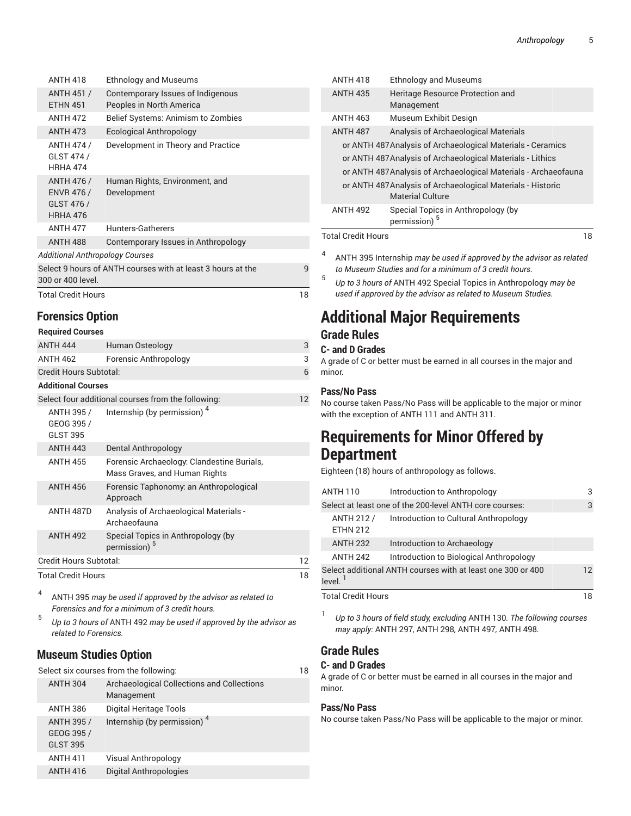|                                                                                       | <b>ANTH 418</b>                                                  | <b>Ethnology and Museums</b>                                  |  |  |
|---------------------------------------------------------------------------------------|------------------------------------------------------------------|---------------------------------------------------------------|--|--|
|                                                                                       | <b>ANTH 451 /</b><br><b>ETHN 451</b>                             | Contemporary Issues of Indigenous<br>Peoples in North America |  |  |
|                                                                                       | <b>ANTH 472</b>                                                  | Belief Systems: Animism to Zombies                            |  |  |
|                                                                                       | <b>ANTH 473</b>                                                  | <b>Ecological Anthropology</b>                                |  |  |
|                                                                                       | <b>ANTH 474 /</b><br>GLST 474 /<br><b>HRHA 474</b>               | Development in Theory and Practice                            |  |  |
|                                                                                       | <b>ANTH 476 /</b><br><b>ENVR 476 /</b><br>GLST 476 /<br>HRHA 476 | Human Rights, Environment, and<br>Development                 |  |  |
|                                                                                       | <b>ANTH 477</b>                                                  | Hunters-Gatherers                                             |  |  |
|                                                                                       | <b>ANTH 488</b>                                                  | Contemporary Issues in Anthropology                           |  |  |
|                                                                                       | Additional Anthropology Courses                                  |                                                               |  |  |
| Select 9 hours of ANTH courses with at least 3 hours at the<br>9<br>300 or 400 level. |                                                                  |                                                               |  |  |
|                                                                                       | Total Credit Hours<br>18                                         |                                                               |  |  |
|                                                                                       |                                                                  |                                                               |  |  |

# **Forensics Option**

| <b>Required Courses</b>                     |                                                                             |    |
|---------------------------------------------|-----------------------------------------------------------------------------|----|
| <b>ANTH 444</b>                             | Human Osteology                                                             | 3  |
| <b>ANTH 462</b>                             | Forensic Anthropology                                                       | 3  |
| Credit Hours Subtotal:                      |                                                                             | 6  |
| <b>Additional Courses</b>                   |                                                                             |    |
|                                             | Select four additional courses from the following:                          | 12 |
| ANTH 395 /<br>GEOG 395 /<br><b>GLST 395</b> | Internship (by permission) <sup>4</sup>                                     |    |
| <b>ANTH 443</b>                             | Dental Anthropology                                                         |    |
| <b>ANTH 455</b>                             | Forensic Archaeology: Clandestine Burials,<br>Mass Graves, and Human Rights |    |
| <b>ANTH 456</b>                             | Forensic Taphonomy: an Anthropological<br>Approach                          |    |
| ANTH 487D                                   | Analysis of Archaeological Materials -<br>Archaeofauna                      |    |
| <b>ANTH 492</b>                             | Special Topics in Anthropology (by<br>permission) <sup>5</sup>              |    |
| Credit Hours Subtotal:                      |                                                                             |    |
| <b>Total Credit Hours</b>                   |                                                                             |    |

4 ANTH 395 *may be used if approved by the advisor as related to Forensics and for a minimum of 3 credit hours.*

5 *Up to 3 hours of* ANTH 492 *may be used if approved by the advisor as related to Forensics.*

# **Museum Studies Option**

| Select six courses from the following:<br>18       |                                                          |  |  |
|----------------------------------------------------|----------------------------------------------------------|--|--|
| <b>ANTH 304</b>                                    | Archaeological Collections and Collections<br>Management |  |  |
| <b>ANTH 386</b>                                    | Digital Heritage Tools                                   |  |  |
| <b>ANTH 395 /</b><br>GEOG 395 /<br><b>GLST 395</b> | Internship (by permission) <sup>4</sup>                  |  |  |
| <b>ANTH 411</b>                                    | Visual Anthropology                                      |  |  |
| <b>ANTH 416</b>                                    | Digital Anthropologies                                   |  |  |

| <b>ANTH 418</b>           | <b>Ethnology and Museums</b>                                                           |    |
|---------------------------|----------------------------------------------------------------------------------------|----|
| <b>ANTH 435</b>           | Heritage Resource Protection and<br>Management                                         |    |
| <b>ANTH 463</b>           | Museum Exhibit Design                                                                  |    |
| <b>ANTH 487</b>           | Analysis of Archaeological Materials                                                   |    |
|                           | or ANTH 487 Analysis of Archaeological Materials - Ceramics                            |    |
|                           | or ANTH 487 Analysis of Archaeological Materials - Lithics                             |    |
|                           | or ANTH 487 Analysis of Archaeological Materials - Archaeofauna                        |    |
|                           | or ANTH 487 Analysis of Archaeological Materials - Historic<br><b>Material Culture</b> |    |
| <b>ANTH 492</b>           | Special Topics in Anthropology (by<br>permission) <sup>5</sup>                         |    |
| <b>Total Credit Hours</b> |                                                                                        | 18 |

- 4 ANTH 395 Internship *may be used if approved by the advisor as related to Museum Studies and for a minimum of 3 credit hours.*
	- *Up to 3 hours of* ANTH 492 Special Topics in Anthropology *may be used if approved by the advisor as related to Museum Studies.*

# **Additional Major Requirements**

# **Grade Rules**

5

# **C- and D Grades**

A grade of C or better must be earned in all courses in the major and minor.

# **Pass/No Pass**

No course taken Pass/No Pass will be applicable to the major or minor with the exception of ANTH 111 and ANTH 311.

# **Requirements for Minor Offered by Department**

Eighteen (18) hours of anthropology as follows.

| <b>ANTH 110</b>                                                           | Introduction to Anthropology                            | 3 |
|---------------------------------------------------------------------------|---------------------------------------------------------|---|
|                                                                           | Select at least one of the 200-level ANTH core courses: | 3 |
| <b>ANTH 212/</b><br><b>ETHN 212</b>                                       | Introduction to Cultural Anthropology                   |   |
| <b>ANTH 232</b>                                                           | Introduction to Archaeology                             |   |
| <b>ANTH 242</b>                                                           | Introduction to Biological Anthropology                 |   |
| Select additional ANTH courses with at least one 300 or 400<br>level. $1$ |                                                         |   |
| <b>Total Credit Hours</b>                                                 |                                                         |   |

1 *Up to 3 hours of field study, excluding* ANTH 130*. The following courses may apply:* ANTH 297*,* ANTH 298*,* ANTH 497*,* ANTH 498*.*

# **Grade Rules**

# **C- and D Grades**

A grade of C or better must be earned in all courses in the major and minor.

# **Pass/No Pass**

No course taken Pass/No Pass will be applicable to the major or minor.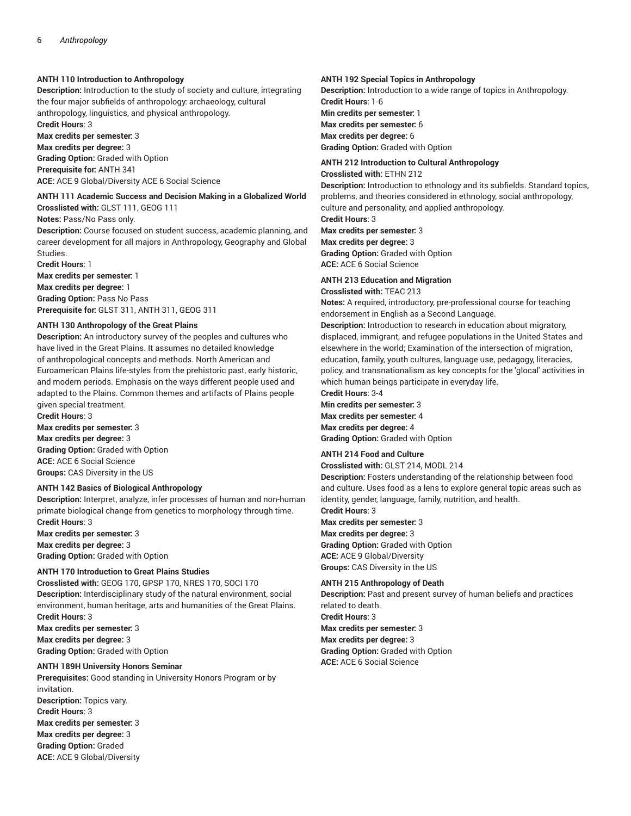# **ANTH 110 Introduction to Anthropology**

**Description:** Introduction to the study of society and culture, integrating the four major subfields of anthropology: archaeology, cultural anthropology, linguistics, and physical anthropology.

**Credit Hours**: 3

**Max credits per semester:** 3 **Max credits per degree:** 3 **Grading Option:** Graded with Option **Prerequisite for:** ANTH 341 **ACE:** ACE 9 Global/Diversity ACE 6 Social Science

# **ANTH 111 Academic Success and Decision Making in a Globalized World**

**Crosslisted with:** GLST 111, GEOG 111

### **Notes:** Pass/No Pass only.

**Description:** Course focused on student success, academic planning, and career development for all majors in Anthropology, Geography and Global Studies.

**Credit Hours**: 1

**Max credits per semester:** 1 **Max credits per degree:** 1 **Grading Option:** Pass No Pass

**Prerequisite for:** GLST 311, ANTH 311, GEOG 311

# **ANTH 130 Anthropology of the Great Plains**

**Description:** An introductory survey of the peoples and cultures who have lived in the Great Plains. It assumes no detailed knowledge of anthropological concepts and methods. North American and Euroamerican Plains life-styles from the prehistoric past, early historic, and modern periods. Emphasis on the ways different people used and adapted to the Plains. Common themes and artifacts of Plains people given special treatment.

**Credit Hours**: 3 **Max credits per semester:** 3 **Max credits per degree:** 3 **Grading Option:** Graded with Option **ACE:** ACE 6 Social Science **Groups:** CAS Diversity in the US

# **ANTH 142 Basics of Biological Anthropology**

**Description:** Interpret, analyze, infer processes of human and non-human primate biological change from genetics to morphology through time. **Credit Hours**: 3

**Max credits per semester:** 3 **Max credits per degree:** 3 **Grading Option:** Graded with Option

# **ANTH 170 Introduction to Great Plains Studies**

**Crosslisted with:** GEOG 170, GPSP 170, NRES 170, SOCI 170 **Description:** Interdisciplinary study of the natural environment, social environment, human heritage, arts and humanities of the Great Plains. **Credit Hours**: 3

**Max credits per semester:** 3 **Max credits per degree:** 3 **Grading Option:** Graded with Option

**Max credits per degree:** 3 **Grading Option:** Graded **ACE:** ACE 9 Global/Diversity

# **ANTH 189H University Honors Seminar**

**Prerequisites:** Good standing in University Honors Program or by invitation. **Description:** Topics vary. **Credit Hours**: 3 **Max credits per semester:** 3

### **ANTH 192 Special Topics in Anthropology**

**Description:** Introduction to a wide range of topics in Anthropology. **Credit Hours**: 1-6 **Min credits per semester:** 1 **Max credits per semester:** 6 **Max credits per degree:** 6 **Grading Option:** Graded with Option

# **ANTH 212 Introduction to Cultural Anthropology**

**Crosslisted with:** ETHN 212

**Description:** Introduction to ethnology and its subfields. Standard topics, problems, and theories considered in ethnology, social anthropology, culture and personality, and applied anthropology.

**Credit Hours**: 3

**Max credits per semester:** 3

#### **Max credits per degree:** 3

**Grading Option:** Graded with Option **ACE:** ACE 6 Social Science

# **ANTH 213 Education and Migration**

**Crosslisted with:** TEAC 213

**Notes:** A required, introductory, pre-professional course for teaching endorsement in English as a Second Language.

**Description:** Introduction to research in education about migratory, displaced, immigrant, and refugee populations in the United States and elsewhere in the world; Examination of the intersection of migration, education, family, youth cultures, language use, pedagogy, literacies, policy, and transnationalism as key concepts for the 'glocal' activities in which human beings participate in everyday life. **Credit Hours**: 3-4

**Min credits per semester:** 3 **Max credits per semester:** 4

**Max credits per degree:** 4 **Grading Option:** Graded with Option

# **ANTH 214 Food and Culture**

**Crosslisted with:** GLST 214, MODL 214

**Description:** Fosters understanding of the relationship between food and culture. Uses food as a lens to explore general topic areas such as identity, gender, language, family, nutrition, and health.

**Credit Hours**: 3 **Max credits per semester:** 3

**Max credits per degree:** 3 **Grading Option:** Graded with Option **ACE:** ACE 9 Global/Diversity **Groups:** CAS Diversity in the US

# **ANTH 215 Anthropology of Death**

**Description:** Past and present survey of human beliefs and practices related to death. **Credit Hours**: 3 **Max credits per semester:** 3 **Max credits per degree:** 3 **Grading Option:** Graded with Option **ACE:** ACE 6 Social Science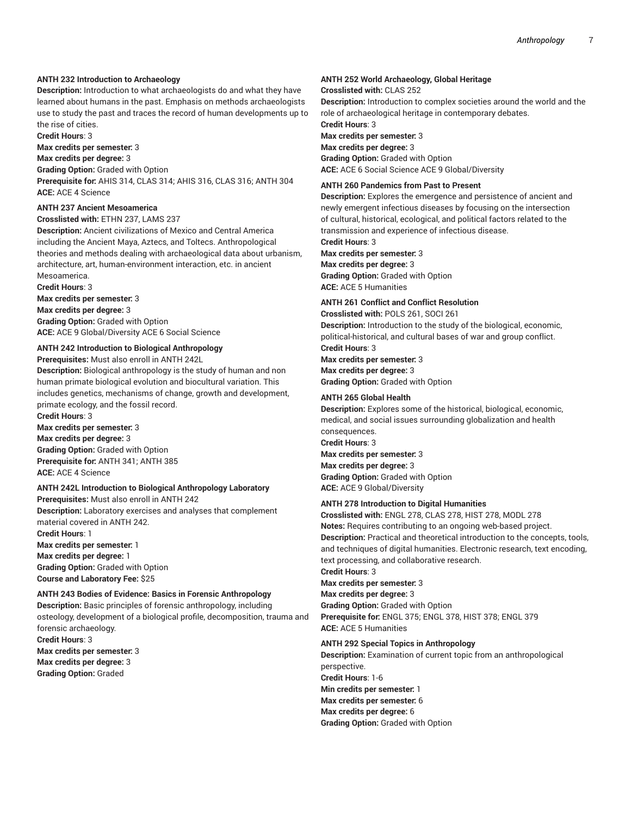#### **ANTH 232 Introduction to Archaeology**

**Description:** Introduction to what archaeologists do and what they have learned about humans in the past. Emphasis on methods archaeologists use to study the past and traces the record of human developments up to the rise of cities.

**Credit Hours**: 3

**Max credits per semester:** 3

## **Max credits per degree:** 3

**Grading Option:** Graded with Option **Prerequisite for:** AHIS 314, CLAS 314; AHIS 316, CLAS 316; ANTH 304 **ACE:** ACE 4 Science

# **ANTH 237 Ancient Mesoamerica**

**Crosslisted with:** ETHN 237, LAMS 237

**Description:** Ancient civilizations of Mexico and Central America including the Ancient Maya, Aztecs, and Toltecs. Anthropological theories and methods dealing with archaeological data about urbanism, architecture, art, human-environment interaction, etc. in ancient Mesoamerica.

**Credit Hours**: 3

**Max credits per semester:** 3

**Max credits per degree:** 3 **Grading Option:** Graded with Option **ACE:** ACE 9 Global/Diversity ACE 6 Social Science

#### **ANTH 242 Introduction to Biological Anthropology**

**Prerequisites:** Must also enroll in ANTH 242L

**Description:** Biological anthropology is the study of human and non human primate biological evolution and biocultural variation. This includes genetics, mechanisms of change, growth and development, primate ecology, and the fossil record.

**Credit Hours**: 3 **Max credits per semester:** 3 **Max credits per degree:** 3 **Grading Option:** Graded with Option **Prerequisite for:** ANTH 341; ANTH 385 **ACE:** ACE 4 Science

#### **ANTH 242L Introduction to Biological Anthropology Laboratory**

**Prerequisites:** Must also enroll in ANTH 242 **Description:** Laboratory exercises and analyses that complement material covered in ANTH 242. **Credit Hours**: 1 **Max credits per semester:** 1 **Max credits per degree:** 1 **Grading Option:** Graded with Option **Course and Laboratory Fee:** \$25

# **ANTH 243 Bodies of Evidence: Basics in Forensic Anthropology**

**Description:** Basic principles of forensic anthropology, including osteology, development of a biological profile, decomposition, trauma and forensic archaeology. **Credit Hours**: 3 **Max credits per semester:** 3 **Max credits per degree:** 3

**Grading Option:** Graded

#### **ANTH 252 World Archaeology, Global Heritage**

**Crosslisted with:** CLAS 252

**Description:** Introduction to complex societies around the world and the role of archaeological heritage in contemporary debates.

**Credit Hours**: 3 **Max credits per semester:** 3 **Max credits per degree:** 3 **Grading Option:** Graded with Option **ACE:** ACE 6 Social Science ACE 9 Global/Diversity

#### **ANTH 260 Pandemics from Past to Present**

**Description:** Explores the emergence and persistence of ancient and newly emergent infectious diseases by focusing on the intersection of cultural, historical, ecological, and political factors related to the transmission and experience of infectious disease.

**Credit Hours**: 3

**Max credits per semester:** 3 **Max credits per degree:** 3 **Grading Option:** Graded with Option **ACE:** ACE 5 Humanities

## **ANTH 261 Conflict and Conflict Resolution**

**Crosslisted with:** POLS 261, SOCI 261 **Description:** Introduction to the study of the biological, economic, political-historical, and cultural bases of war and group conflict. **Credit Hours**: 3 **Max credits per semester:** 3 **Max credits per degree:** 3

**Grading Option:** Graded with Option

#### **ANTH 265 Global Health**

**Description:** Explores some of the historical, biological, economic, medical, and social issues surrounding globalization and health consequences. **Credit Hours**: 3 **Max credits per semester:** 3 **Max credits per degree:** 3 **Grading Option:** Graded with Option **ACE:** ACE 9 Global/Diversity

# **ANTH 278 Introduction to Digital Humanities**

**Crosslisted with:** ENGL 278, CLAS 278, HIST 278, MODL 278 **Notes:** Requires contributing to an ongoing web-based project. **Description:** Practical and theoretical introduction to the concepts, tools, and techniques of digital humanities. Electronic research, text encoding, text processing, and collaborative research.

**Credit Hours**: 3

**Max credits per semester:** 3

**Max credits per degree:** 3 **Grading Option:** Graded with Option **Prerequisite for:** ENGL 375; ENGL 378, HIST 378; ENGL 379 **ACE:** ACE 5 Humanities

#### **ANTH 292 Special Topics in Anthropology**

**Description:** Examination of current topic from an anthropological perspective. **Credit Hours**: 1-6 **Min credits per semester:** 1 **Max credits per semester:** 6 **Max credits per degree:** 6 **Grading Option:** Graded with Option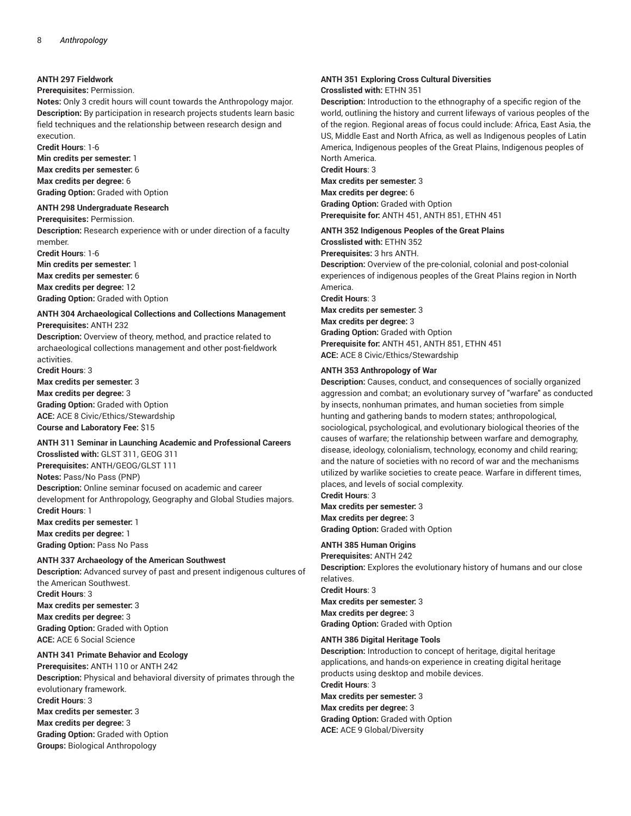### **ANTH 297 Fieldwork**

## **Prerequisites:** Permission.

**Notes:** Only 3 credit hours will count towards the Anthropology major. **Description:** By participation in research projects students learn basic field techniques and the relationship between research design and execution.

**Credit Hours**: 1-6

**Min credits per semester:** 1 **Max credits per semester:** 6 **Max credits per degree:** 6 **Grading Option:** Graded with Option

#### **ANTH 298 Undergraduate Research**

**Prerequisites:** Permission. **Description:** Research experience with or under direction of a faculty member.

**Credit Hours**: 1-6 **Min credits per semester:** 1 **Max credits per semester:** 6 **Max credits per degree:** 12 **Grading Option:** Graded with Option

#### **ANTH 304 Archaeological Collections and Collections Management Prerequisites:** ANTH 232

**Description:** Overview of theory, method, and practice related to archaeological collections management and other post-fieldwork activities.

**Credit Hours**: 3 **Max credits per semester:** 3 **Max credits per degree:** 3

**Grading Option:** Graded with Option **ACE:** ACE 8 Civic/Ethics/Stewardship **Course and Laboratory Fee:** \$15

## **ANTH 311 Seminar in Launching Academic and Professional Careers**

**Crosslisted with:** GLST 311, GEOG 311 **Prerequisites:** ANTH/GEOG/GLST 111 **Notes:** Pass/No Pass (PNP) **Description:** Online seminar focused on academic and career development for Anthropology, Geography and Global Studies majors. **Credit Hours**: 1 **Max credits per semester:** 1 **Max credits per degree:** 1

**Grading Option:** Pass No Pass

## **ANTH 337 Archaeology of the American Southwest**

**Description:** Advanced survey of past and present indigenous cultures of the American Southwest.

**Credit Hours**: 3

**Max credits per semester:** 3 **Max credits per degree:** 3 **Grading Option:** Graded with Option **ACE:** ACE 6 Social Science

#### **ANTH 341 Primate Behavior and Ecology**

**Prerequisites:** ANTH 110 or ANTH 242 **Description:** Physical and behavioral diversity of primates through the evolutionary framework. **Credit Hours**: 3 **Max credits per semester:** 3 **Max credits per degree:** 3 **Grading Option:** Graded with Option **Groups:** Biological Anthropology

#### **ANTH 351 Exploring Cross Cultural Diversities Crosslisted with:** ETHN 351

**Description:** Introduction to the ethnography of a specific region of the world, outlining the history and current lifeways of various peoples of the of the region. Regional areas of focus could include: Africa, East Asia, the US, Middle East and North Africa, as well as Indigenous peoples of Latin America, Indigenous peoples of the Great Plains, Indigenous peoples of North America.

**Credit Hours**: 3 **Max credits per semester:** 3 **Max credits per degree:** 6 **Grading Option:** Graded with Option **Prerequisite for:** ANTH 451, ANTH 851, ETHN 451

#### **ANTH 352 Indigenous Peoples of the Great Plains**

**Crosslisted with:** ETHN 352 **Prerequisites:** 3 hrs ANTH. **Description:** Overview of the pre-colonial, colonial and post-colonial experiences of indigenous peoples of the Great Plains region in North America.

**Credit Hours**: 3 **Max credits per semester:** 3 **Max credits per degree:** 3 **Grading Option:** Graded with Option **Prerequisite for:** ANTH 451, ANTH 851, ETHN 451

#### **ANTH 353 Anthropology of War**

**ACE:** ACE 8 Civic/Ethics/Stewardship

**Description:** Causes, conduct, and consequences of socially organized aggression and combat; an evolutionary survey of "warfare" as conducted by insects, nonhuman primates, and human societies from simple hunting and gathering bands to modern states; anthropological, sociological, psychological, and evolutionary biological theories of the causes of warfare; the relationship between warfare and demography, disease, ideology, colonialism, technology, economy and child rearing; and the nature of societies with no record of war and the mechanisms utilized by warlike societies to create peace. Warfare in different times, places, and levels of social complexity.

**Credit Hours**: 3 **Max credits per semester:** 3 **Max credits per degree:** 3 **Grading Option:** Graded with Option

# **ANTH 385 Human Origins**

**Prerequisites:** ANTH 242 **Description:** Explores the evolutionary history of humans and our close relatives. **Credit Hours**: 3 **Max credits per semester:** 3 **Max credits per degree:** 3

**Grading Option:** Graded with Option

# **ANTH 386 Digital Heritage Tools**

**Description:** Introduction to concept of heritage, digital heritage applications, and hands-on experience in creating digital heritage products using desktop and mobile devices. **Credit Hours**: 3 **Max credits per semester:** 3 **Max credits per degree:** 3 **Grading Option:** Graded with Option **ACE:** ACE 9 Global/Diversity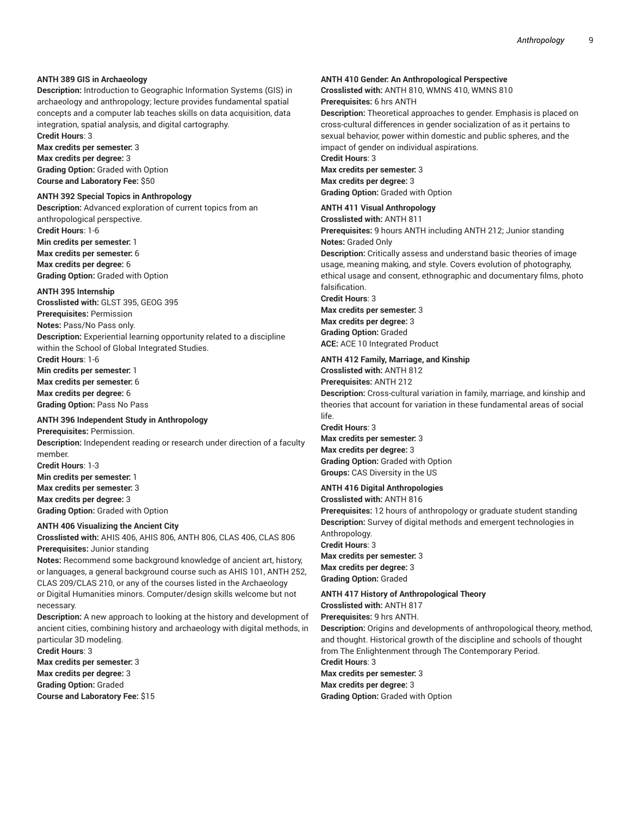# **ANTH 389 GIS in Archaeology**

**Description:** Introduction to Geographic Information Systems (GIS) in archaeology and anthropology; lecture provides fundamental spatial concepts and a computer lab teaches skills on data acquisition, data integration, spatial analysis, and digital cartography.

**Credit Hours**: 3

**Max credits per semester:** 3

**Max credits per degree:** 3 **Grading Option:** Graded with Option **Course and Laboratory Fee:** \$50

## **ANTH 392 Special Topics in Anthropology**

**Description:** Advanced exploration of current topics from an anthropological perspective. **Credit Hours**: 1-6 **Min credits per semester:** 1 **Max credits per semester:** 6 **Max credits per degree:** 6 **Grading Option:** Graded with Option

#### **ANTH 395 Internship**

**Crosslisted with:** GLST 395, GEOG 395 **Prerequisites:** Permission **Notes:** Pass/No Pass only. **Description:** Experiential learning opportunity related to a discipline within the School of Global Integrated Studies. **Credit Hours**: 1-6

**Min credits per semester:** 1 **Max credits per semester:** 6 **Max credits per degree:** 6 **Grading Option:** Pass No Pass

#### **ANTH 396 Independent Study in Anthropology**

**Prerequisites:** Permission. **Description:** Independent reading or research under direction of a faculty member. **Credit Hours**: 1-3 **Min credits per semester:** 1 **Max credits per semester:** 3 **Max credits per degree:** 3 **Grading Option:** Graded with Option

### **ANTH 406 Visualizing the Ancient City**

**Crosslisted with:** AHIS 406, AHIS 806, ANTH 806, CLAS 406, CLAS 806 **Prerequisites:** Junior standing

**Notes:** Recommend some background knowledge of ancient art, history, or languages, a general background course such as AHIS 101, ANTH 252, CLAS 209/CLAS 210, or any of the courses listed in the Archaeology or Digital Humanities minors. Computer/design skills welcome but not necessary.

**Description:** A new approach to looking at the history and development of ancient cities, combining history and archaeology with digital methods, in particular 3D modeling.

**Credit Hours**: 3 **Max credits per semester:** 3 **Max credits per degree:** 3 **Grading Option:** Graded **Course and Laboratory Fee:** \$15

#### **ANTH 410 Gender: An Anthropological Perspective**

**Crosslisted with:** ANTH 810, WMNS 410, WMNS 810 **Prerequisites:** 6 hrs ANTH

**Description:** Theoretical approaches to gender. Emphasis is placed on cross-cultural differences in gender socialization of as it pertains to sexual behavior, power within domestic and public spheres, and the impact of gender on individual aspirations.

**Credit Hours**: 3 **Max credits per semester:** 3

**Max credits per degree:** 3 **Grading Option:** Graded with Option

#### **ANTH 411 Visual Anthropology**

**Crosslisted with:** ANTH 811

**Prerequisites:** 9 hours ANTH including ANTH 212; Junior standing **Notes:** Graded Only

**Description:** Critically assess and understand basic theories of image usage, meaning making, and style. Covers evolution of photography, ethical usage and consent, ethnographic and documentary films, photo falsification.

**Credit Hours**: 3

**Max credits per semester:** 3 **Max credits per degree:** 3 **Grading Option:** Graded **ACE:** ACE 10 Integrated Product

# **ANTH 412 Family, Marriage, and Kinship**

**Crosslisted with:** ANTH 812 **Prerequisites:** ANTH 212

**Description:** Cross-cultural variation in family, marriage, and kinship and theories that account for variation in these fundamental areas of social life.

**Credit Hours**: 3 **Max credits per semester:** 3 **Max credits per degree:** 3 **Grading Option:** Graded with Option **Groups:** CAS Diversity in the US

# **ANTH 416 Digital Anthropologies**

**Crosslisted with:** ANTH 816 **Prerequisites:** 12 hours of anthropology or graduate student standing **Description:** Survey of digital methods and emergent technologies in Anthropology. **Credit Hours**: 3 **Max credits per semester:** 3 **Max credits per degree:** 3 **Grading Option:** Graded

# **ANTH 417 History of Anthropological Theory**

**Crosslisted with:** ANTH 817 **Prerequisites:** 9 hrs ANTH.

**Description:** Origins and developments of anthropological theory, method, and thought. Historical growth of the discipline and schools of thought from The Enlightenment through The Contemporary Period.

**Credit Hours**: 3 **Max credits per semester:** 3 **Max credits per degree:** 3 **Grading Option:** Graded with Option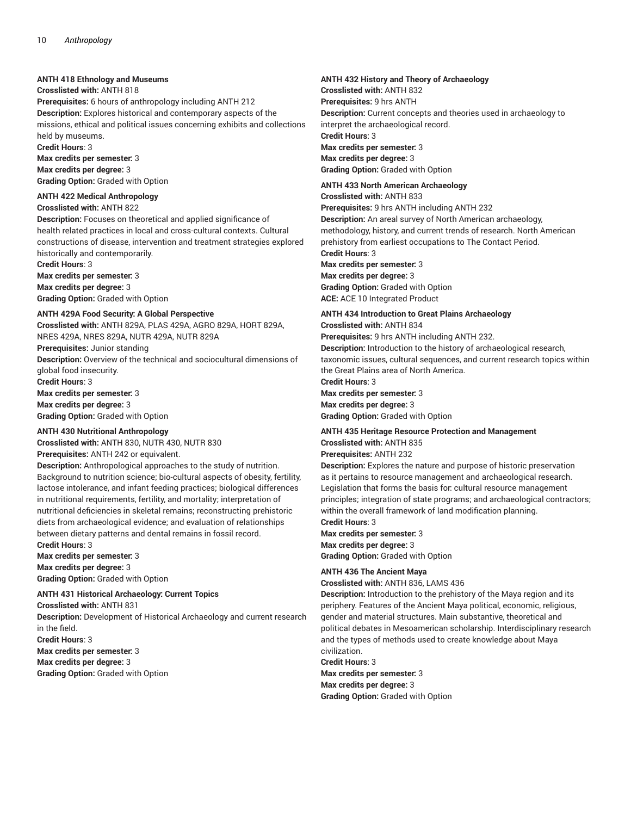# **ANTH 418 Ethnology and Museums**

## **Crosslisted with:** ANTH 818

**Prerequisites:** 6 hours of anthropology including ANTH 212 **Description:** Explores historical and contemporary aspects of the missions, ethical and political issues concerning exhibits and collections held by museums.

**Credit Hours**: 3

**Max credits per semester:** 3 **Max credits per degree:** 3

**Grading Option:** Graded with Option

# **ANTH 422 Medical Anthropology**

**Crosslisted with:** ANTH 822

**Description:** Focuses on theoretical and applied significance of health related practices in local and cross-cultural contexts. Cultural constructions of disease, intervention and treatment strategies explored historically and contemporarily.

**Credit Hours**: 3 **Max credits per semester:** 3 **Max credits per degree:** 3

**Grading Option:** Graded with Option

## **ANTH 429A Food Security: A Global Perspective**

**Crosslisted with:** ANTH 829A, PLAS 429A, AGRO 829A, HORT 829A, NRES 429A, NRES 829A, NUTR 429A, NUTR 829A **Prerequisites:** Junior standing **Description:** Overview of the technical and sociocultural dimensions of global food insecurity. **Credit Hours**: 3 **Max credits per semester:** 3 **Max credits per degree:** 3 **Grading Option:** Graded with Option

#### **ANTH 430 Nutritional Anthropology**

**Crosslisted with:** ANTH 830, NUTR 430, NUTR 830 **Prerequisites:** ANTH 242 or equivalent.

**Description:** Anthropological approaches to the study of nutrition. Background to nutrition science; bio-cultural aspects of obesity, fertility, lactose intolerance, and infant feeding practices; biological differences in nutritional requirements, fertility, and mortality; interpretation of nutritional deficiencies in skeletal remains; reconstructing prehistoric diets from archaeological evidence; and evaluation of relationships between dietary patterns and dental remains in fossil record. **Credit Hours**: 3

**Max credits per semester:** 3 **Max credits per degree:** 3 **Grading Option:** Graded with Option

**ANTH 431 Historical Archaeology: Current Topics Crosslisted with:** ANTH 831

**Description:** Development of Historical Archaeology and current research in the field.

**Credit Hours**: 3

**Max credits per semester:** 3 **Max credits per degree:** 3 **Grading Option:** Graded with Option

# **ANTH 432 History and Theory of Archaeology**

**Crosslisted with:** ANTH 832 **Prerequisites:** 9 hrs ANTH **Description:** Current concepts and theories used in archaeology to interpret the archaeological record. **Credit Hours**: 3 **Max credits per semester:** 3 **Max credits per degree:** 3 **Grading Option:** Graded with Option

#### **ANTH 433 North American Archaeology Crosslisted with:** ANTH 833

**Prerequisites:** 9 hrs ANTH including ANTH 232 **Description:** An areal survey of North American archaeology, methodology, history, and current trends of research. North American prehistory from earliest occupations to The Contact Period. **Credit Hours**: 3

**Max credits per semester:** 3 **Max credits per degree:** 3

**Grading Option:** Graded with Option **ACE:** ACE 10 Integrated Product

# **ANTH 434 Introduction to Great Plains Archaeology**

**Crosslisted with:** ANTH 834 **Prerequisites:** 9 hrs ANTH including ANTH 232. **Description:** Introduction to the history of archaeological research, taxonomic issues, cultural sequences, and current research topics within

the Great Plains area of North America. **Credit Hours**: 3

**Max credits per semester:** 3 **Max credits per degree:** 3 **Grading Option:** Graded with Option

#### **ANTH 435 Heritage Resource Protection and Management Crosslisted with:** ANTH 835

**Prerequisites:** ANTH 232

**Description:** Explores the nature and purpose of historic preservation as it pertains to resource management and archaeological research. Legislation that forms the basis for: cultural resource management principles; integration of state programs; and archaeological contractors; within the overall framework of land modification planning.

**Credit Hours**: 3 **Max credits per semester:** 3 **Max credits per degree:** 3 **Grading Option:** Graded with Option

### **ANTH 436 The Ancient Maya**

**Crosslisted with:** ANTH 836, LAMS 436

**Description:** Introduction to the prehistory of the Maya region and its periphery. Features of the Ancient Maya political, economic, religious, gender and material structures. Main substantive, theoretical and political debates in Mesoamerican scholarship. Interdisciplinary research and the types of methods used to create knowledge about Maya civilization.

### **Credit Hours**: 3

**Max credits per semester:** 3 **Max credits per degree:** 3 **Grading Option:** Graded with Option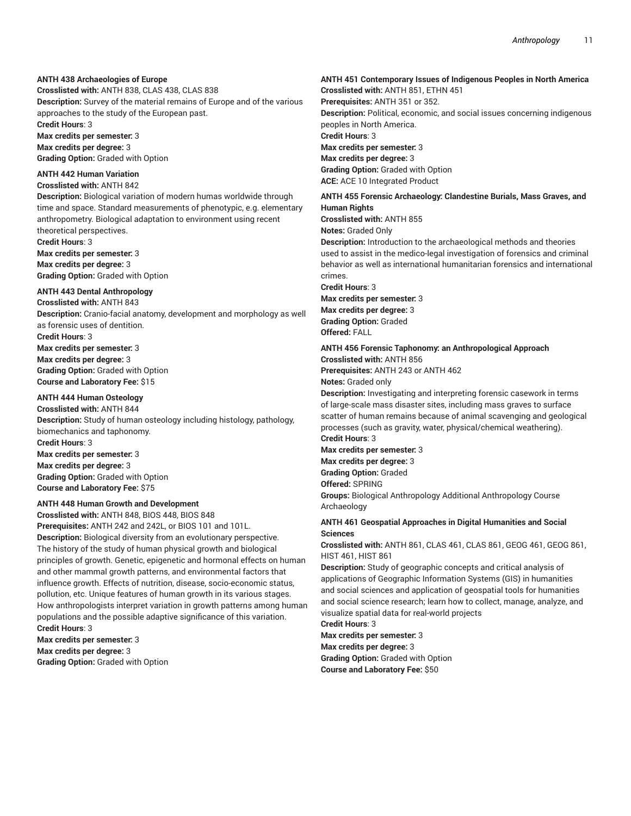# **ANTH 438 Archaeologies of Europe**

**Crosslisted with:** ANTH 838, CLAS 438, CLAS 838 **Description:** Survey of the material remains of Europe and of the various approaches to the study of the European past. **Credit Hours**: 3

**Max credits per semester:** 3 **Max credits per degree:** 3 **Grading Option:** Graded with Option

## **ANTH 442 Human Variation**

## **Crosslisted with:** ANTH 842

**Description:** Biological variation of modern humas worldwide through time and space. Standard measurements of phenotypic, e.g. elementary anthropometry. Biological adaptation to environment using recent theoretical perspectives.

**Credit Hours**: 3 **Max credits per semester:** 3 **Max credits per degree:** 3 **Grading Option:** Graded with Option

# **ANTH 443 Dental Anthropology**

**Crosslisted with:** ANTH 843 **Description:** Cranio-facial anatomy, development and morphology as well as forensic uses of dentition.

**Credit Hours**: 3 **Max credits per semester:** 3 **Max credits per degree:** 3

**Grading Option:** Graded with Option **Course and Laboratory Fee:** \$15

# **ANTH 444 Human Osteology**

**Crosslisted with:** ANTH 844 **Description:** Study of human osteology including histology, pathology, biomechanics and taphonomy. **Credit Hours**: 3 **Max credits per semester:** 3 **Max credits per degree:** 3 **Grading Option:** Graded with Option **Course and Laboratory Fee:** \$75

# **ANTH 448 Human Growth and Development**

**Crosslisted with:** ANTH 848, BIOS 448, BIOS 848 **Prerequisites:** ANTH 242 and 242L, or BIOS 101 and 101L. **Description:** Biological diversity from an evolutionary perspective. The history of the study of human physical growth and biological principles of growth. Genetic, epigenetic and hormonal effects on human and other mammal growth patterns, and environmental factors that influence growth. Effects of nutrition, disease, socio-economic status, pollution, etc. Unique features of human growth in its various stages. How anthropologists interpret variation in growth patterns among human populations and the possible adaptive significance of this variation. **Credit Hours**: 3

**Max credits per semester:** 3 **Max credits per degree:** 3 **Grading Option:** Graded with Option

#### **ANTH 451 Contemporary Issues of Indigenous Peoples in North America Crosslisted with:** ANTH 851, ETHN 451

**Prerequisites:** ANTH 351 or 352. **Description:** Political, economic, and social issues concerning indigenous peoples in North America. **Credit Hours**: 3 **Max credits per semester:** 3 **Max credits per degree:** 3 **Grading Option:** Graded with Option **ACE:** ACE 10 Integrated Product

#### **ANTH 455 Forensic Archaeology: Clandestine Burials, Mass Graves, and Human Rights**

**Crosslisted with:** ANTH 855 **Notes:** Graded Only

**Description:** Introduction to the archaeological methods and theories used to assist in the medico-legal investigation of forensics and criminal behavior as well as international humanitarian forensics and international crimes.

**Credit Hours**: 3 **Max credits per semester:** 3 **Max credits per degree:** 3 **Grading Option:** Graded **Offered:** FALL

**ANTH 456 Forensic Taphonomy: an Anthropological Approach Crosslisted with:** ANTH 856 **Prerequisites:** ANTH 243 or ANTH 462

**Notes:** Graded only

**Description:** Investigating and interpreting forensic casework in terms of large-scale mass disaster sites, including mass graves to surface scatter of human remains because of animal scavenging and geological processes (such as gravity, water, physical/chemical weathering). **Credit Hours**: 3

**Max credits per semester:** 3 **Max credits per degree:** 3

**Grading Option:** Graded

**Offered:** SPRING

**Groups:** Biological Anthropology Additional Anthropology Course Archaeology

# **ANTH 461 Geospatial Approaches in Digital Humanities and Social Sciences**

**Crosslisted with:** ANTH 861, CLAS 461, CLAS 861, GEOG 461, GEOG 861, HIST 461, HIST 861

**Description:** Study of geographic concepts and critical analysis of applications of Geographic Information Systems (GIS) in humanities and social sciences and application of geospatial tools for humanities and social science research; learn how to collect, manage, analyze, and visualize spatial data for real-world projects

**Credit Hours**: 3

**Max credits per semester:** 3

**Max credits per degree:** 3 **Grading Option:** Graded with Option **Course and Laboratory Fee:** \$50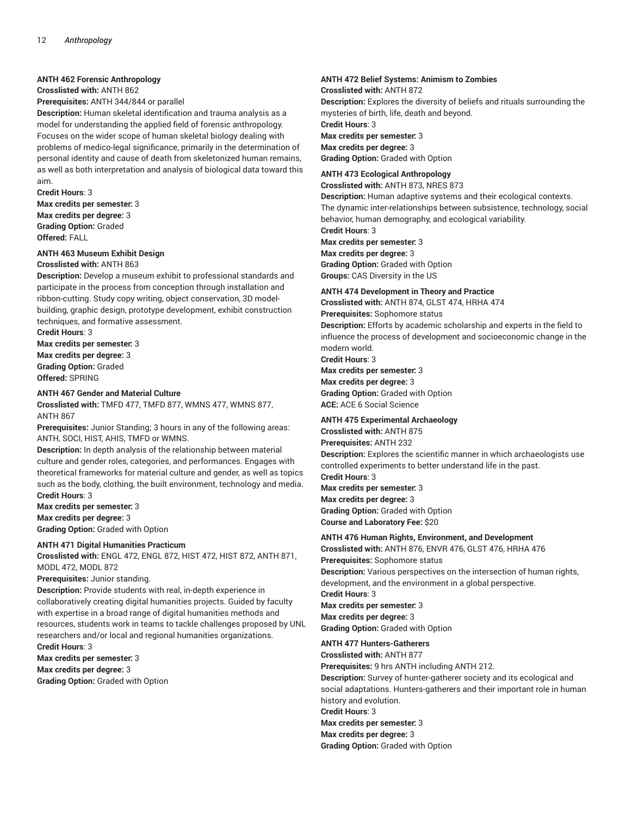# **ANTH 462 Forensic Anthropology**

**Crosslisted with:** ANTH 862

**Prerequisites:** ANTH 344/844 or parallel

**Description:** Human skeletal identification and trauma analysis as a model for understanding the applied field of forensic anthropology. Focuses on the wider scope of human skeletal biology dealing with problems of medico-legal significance, primarily in the determination of personal identity and cause of death from skeletonized human remains, as well as both interpretation and analysis of biological data toward this aim.

**Credit Hours**: 3

**Max credits per semester:** 3 **Max credits per degree:** 3 **Grading Option:** Graded **Offered:** FALL

#### **ANTH 463 Museum Exhibit Design Crosslisted with:** ANTH 863

**Description:** Develop a museum exhibit to professional standards and participate in the process from conception through installation and ribbon-cutting. Study copy writing, object conservation, 3D modelbuilding, graphic design, prototype development, exhibit construction techniques, and formative assessment.

**Credit Hours**: 3 **Max credits per semester:** 3 **Max credits per degree:** 3 **Grading Option:** Graded **Offered:** SPRING

#### **ANTH 467 Gender and Material Culture**

**Crosslisted with:** TMFD 477, TMFD 877, WMNS 477, WMNS 877, ANTH 867

**Prerequisites:** Junior Standing; 3 hours in any of the following areas: ANTH, SOCI, HIST, AHIS, TMFD or WMNS.

**Description:** In depth analysis of the relationship between material culture and gender roles, categories, and performances. Engages with theoretical frameworks for material culture and gender, as well as topics such as the body, clothing, the built environment, technology and media. **Credit Hours**: 3

**Max credits per semester:** 3 **Max credits per degree:** 3 **Grading Option:** Graded with Option

#### **ANTH 471 Digital Humanities Practicum**

**Crosslisted with:** ENGL 472, ENGL 872, HIST 472, HIST 872, ANTH 871, MODL 472, MODL 872

**Prerequisites:** Junior standing.

**Description:** Provide students with real, in-depth experience in collaboratively creating digital humanities projects. Guided by faculty with expertise in a broad range of digital humanities methods and resources, students work in teams to tackle challenges proposed by UNL researchers and/or local and regional humanities organizations. **Credit Hours**: 3

**Max credits per semester:** 3

**Max credits per degree:** 3

**Grading Option:** Graded with Option

# **ANTH 472 Belief Systems: Animism to Zombies**

**Crosslisted with:** ANTH 872 **Description:** Explores the diversity of beliefs and rituals surrounding the mysteries of birth, life, death and beyond. **Credit Hours**: 3 **Max credits per semester:** 3 **Max credits per degree:** 3 **Grading Option:** Graded with Option

## **ANTH 473 Ecological Anthropology**

**Crosslisted with:** ANTH 873, NRES 873

**Description:** Human adaptive systems and their ecological contexts. The dynamic inter-relationships between subsistence, technology, social behavior, human demography, and ecological variability.

**Credit Hours**: 3

**Max credits per semester:** 3

**Max credits per degree:** 3 **Grading Option:** Graded with Option **Groups:** CAS Diversity in the US

### **ANTH 474 Development in Theory and Practice**

**Crosslisted with:** ANTH 874, GLST 474, HRHA 474 **Prerequisites:** Sophomore status **Description:** Efforts by academic scholarship and experts in the field to influence the process of development and socioeconomic change in the modern world.

**Credit Hours**: 3 **Max credits per semester:** 3 **Max credits per degree:** 3

**Grading Option:** Graded with Option **ACE:** ACE 6 Social Science

### **ANTH 475 Experimental Archaeology**

**Crosslisted with:** ANTH 875 **Prerequisites:** ANTH 232 **Description:** Explores the scientific manner in which archaeologists use controlled experiments to better understand life in the past. **Credit Hours**: 3 **Max credits per semester:** 3 **Max credits per degree:** 3

**Grading Option:** Graded with Option **Course and Laboratory Fee:** \$20

### **ANTH 476 Human Rights, Environment, and Development**

**Crosslisted with:** ANTH 876, ENVR 476, GLST 476, HRHA 476

**Prerequisites:** Sophomore status **Description:** Various perspectives on the intersection of human rights, development, and the environment in a global perspective. **Credit Hours**: 3 **Max credits per semester:** 3

**Max credits per degree:** 3 **Grading Option:** Graded with Option

# **ANTH 477 Hunters-Gatherers**

**Crosslisted with:** ANTH 877

**Prerequisites:** 9 hrs ANTH including ANTH 212.

**Description:** Survey of hunter-gatherer society and its ecological and social adaptations. Hunters-gatherers and their important role in human history and evolution.

**Credit Hours**: 3

**Max credits per semester:** 3 **Max credits per degree:** 3

**Grading Option:** Graded with Option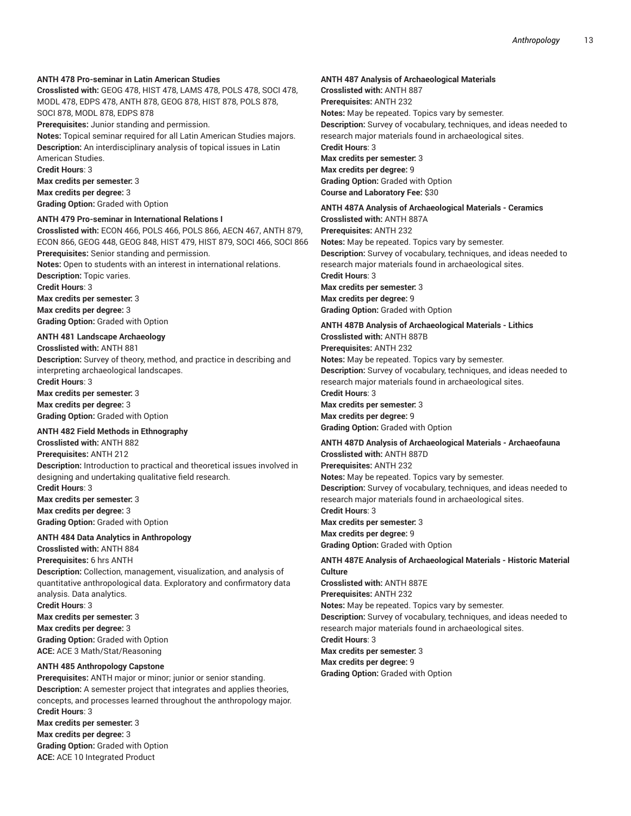# **ANTH 478 Pro-seminar in Latin American Studies**

**Crosslisted with:** GEOG 478, HIST 478, LAMS 478, POLS 478, SOCI 478, MODL 478, EDPS 478, ANTH 878, GEOG 878, HIST 878, POLS 878, SOCI 878, MODL 878, EDPS 878

**Prerequisites:** Junior standing and permission.

**Notes:** Topical seminar required for all Latin American Studies majors. **Description:** An interdisciplinary analysis of topical issues in Latin American Studies.

**Credit Hours**: 3

**Max credits per semester:** 3

**Max credits per degree:** 3

**Grading Option:** Graded with Option

# **ANTH 479 Pro-seminar in International Relations I**

**Crosslisted with:** ECON 466, POLS 466, POLS 866, AECN 467, ANTH 879, ECON 866, GEOG 448, GEOG 848, HIST 479, HIST 879, SOCI 466, SOCI 866 **Prerequisites:** Senior standing and permission.

**Notes:** Open to students with an interest in international relations. **Description:** Topic varies.

**Credit Hours**: 3

**Max credits per semester:** 3 **Max credits per degree:** 3 **Grading Option:** Graded with Option

# **ANTH 481 Landscape Archaeology**

**Crosslisted with:** ANTH 881 **Description:** Survey of theory, method, and practice in describing and interpreting archaeological landscapes. **Credit Hours**: 3 **Max credits per semester:** 3 **Max credits per degree:** 3

**Grading Option:** Graded with Option

### **ANTH 482 Field Methods in Ethnography**

**Crosslisted with:** ANTH 882

**Prerequisites:** ANTH 212 **Description:** Introduction to practical and theoretical issues involved in designing and undertaking qualitative field research. **Credit Hours**: 3

**Max credits per semester:** 3 **Max credits per degree:** 3 **Grading Option:** Graded with Option

### **ANTH 484 Data Analytics in Anthropology**

**Crosslisted with:** ANTH 884

**Prerequisites:** 6 hrs ANTH **Description:** Collection, management, visualization, and analysis of quantitative anthropological data. Exploratory and confirmatory data analysis. Data analytics. **Credit Hours**: 3 **Max credits per semester:** 3 **Max credits per degree:** 3 **Grading Option:** Graded with Option

**ACE:** ACE 3 Math/Stat/Reasoning

# **ANTH 485 Anthropology Capstone**

**Prerequisites:** ANTH major or minor; junior or senior standing. **Description:** A semester project that integrates and applies theories, concepts, and processes learned throughout the anthropology major. **Credit Hours**: 3 **Max credits per semester:** 3 **Max credits per degree:** 3 **Grading Option:** Graded with Option **ACE:** ACE 10 Integrated Product

#### **ANTH 487 Analysis of Archaeological Materials**

**Crosslisted with:** ANTH 887 **Prerequisites:** ANTH 232 **Notes:** May be repeated. Topics vary by semester. **Description:** Survey of vocabulary, techniques, and ideas needed to research major materials found in archaeological sites. **Credit Hours**: 3 **Max credits per semester:** 3 **Max credits per degree:** 9 **Grading Option:** Graded with Option **Course and Laboratory Fee:** \$30

#### **ANTH 487A Analysis of Archaeological Materials - Ceramics Crosslisted with:** ANTH 887A

**Prerequisites:** ANTH 232 **Notes:** May be repeated. Topics vary by semester. **Description:** Survey of vocabulary, techniques, and ideas needed to research major materials found in archaeological sites. **Credit Hours**: 3 **Max credits per semester:** 3

**Max credits per degree:** 9 **Grading Option:** Graded with Option

# **ANTH 487B Analysis of Archaeological Materials - Lithics**

**Crosslisted with:** ANTH 887B **Prerequisites:** ANTH 232

**Notes:** May be repeated. Topics vary by semester. **Description:** Survey of vocabulary, techniques, and ideas needed to research major materials found in archaeological sites. **Credit Hours**: 3

**Max credits per semester:** 3 **Max credits per degree:** 9 **Grading Option:** Graded with Option

# **ANTH 487D Analysis of Archaeological Materials - Archaeofauna**

**Crosslisted with:** ANTH 887D **Prerequisites:** ANTH 232 **Notes:** May be repeated. Topics vary by semester. **Description:** Survey of vocabulary, techniques, and ideas needed to research major materials found in archaeological sites. **Credit Hours**: 3 **Max credits per semester:** 3

**Max credits per degree:** 9 **Grading Option:** Graded with Option

### **ANTH 487E Analysis of Archaeological Materials - Historic Material Culture Crosslisted with:** ANTH 887E

**Prerequisites:** ANTH 232

**Notes:** May be repeated. Topics vary by semester. **Description:** Survey of vocabulary, techniques, and ideas needed to research major materials found in archaeological sites.

**Credit Hours**: 3

**Max credits per semester:** 3

**Max credits per degree:** 9

**Grading Option:** Graded with Option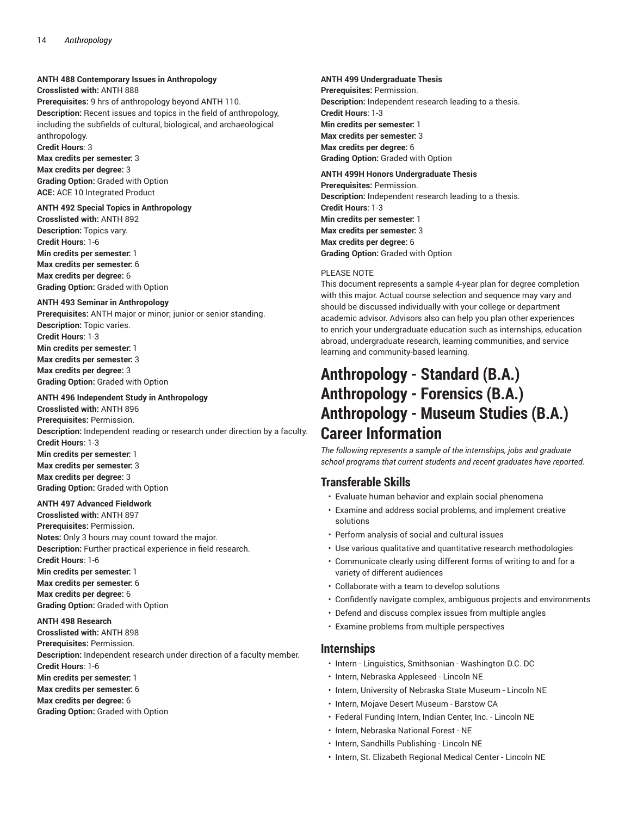# **ANTH 488 Contemporary Issues in Anthropology**

**Crosslisted with:** ANTH 888

**Prerequisites:** 9 hrs of anthropology beyond ANTH 110. **Description:** Recent issues and topics in the field of anthropology, including the subfields of cultural, biological, and archaeological anthropology.

**Credit Hours**: 3

**Max credits per semester:** 3

**Max credits per degree:** 3 **Grading Option:** Graded with Option **ACE:** ACE 10 Integrated Product

## **ANTH 492 Special Topics in Anthropology**

**Crosslisted with:** ANTH 892 **Description:** Topics vary. **Credit Hours**: 1-6 **Min credits per semester:** 1 **Max credits per semester:** 6 **Max credits per degree:** 6 **Grading Option:** Graded with Option

### **ANTH 493 Seminar in Anthropology**

**Prerequisites:** ANTH major or minor; junior or senior standing. **Description:** Topic varies. **Credit Hours**: 1-3 **Min credits per semester:** 1 **Max credits per semester:** 3 **Max credits per degree:** 3 **Grading Option:** Graded with Option

# **ANTH 496 Independent Study in Anthropology**

**Crosslisted with:** ANTH 896 **Prerequisites:** Permission. **Description:** Independent reading or research under direction by a faculty. **Credit Hours**: 1-3 **Min credits per semester:** 1 **Max credits per semester:** 3 **Max credits per degree:** 3 **Grading Option:** Graded with Option

### **ANTH 497 Advanced Fieldwork**

**Crosslisted with:** ANTH 897 **Prerequisites:** Permission. **Notes:** Only 3 hours may count toward the major. **Description:** Further practical experience in field research. **Credit Hours**: 1-6 **Min credits per semester:** 1 **Max credits per semester:** 6 **Max credits per degree:** 6 **Grading Option:** Graded with Option

### **ANTH 498 Research**

**Crosslisted with:** ANTH 898 **Prerequisites:** Permission. **Description:** Independent research under direction of a faculty member. **Credit Hours**: 1-6 **Min credits per semester:** 1 **Max credits per semester:** 6 **Max credits per degree:** 6 **Grading Option:** Graded with Option

# **ANTH 499 Undergraduate Thesis**

**Prerequisites:** Permission. **Description:** Independent research leading to a thesis. **Credit Hours**: 1-3 **Min credits per semester:** 1 **Max credits per semester:** 3 **Max credits per degree:** 6 **Grading Option:** Graded with Option

# **ANTH 499H Honors Undergraduate Thesis**

**Prerequisites:** Permission. **Description:** Independent research leading to a thesis. **Credit Hours**: 1-3 **Min credits per semester:** 1 **Max credits per semester:** 3 **Max credits per degree:** 6 **Grading Option:** Graded with Option

# PLEASE NOTE

This document represents a sample 4-year plan for degree completion with this major. Actual course selection and sequence may vary and should be discussed individually with your college or department academic advisor. Advisors also can help you plan other experiences to enrich your undergraduate education such as internships, education abroad, undergraduate research, learning communities, and service learning and community-based learning.

# **Anthropology - Standard (B.A.) Anthropology - Forensics (B.A.) Anthropology - Museum Studies (B.A.) Career Information**

*The following represents a sample of the internships, jobs and graduate school programs that current students and recent graduates have reported.*

# **Transferable Skills**

- Evaluate human behavior and explain social phenomena
- Examine and address social problems, and implement creative solutions
- Perform analysis of social and cultural issues
- Use various qualitative and quantitative research methodologies
- Communicate clearly using different forms of writing to and for a variety of different audiences
- Collaborate with a team to develop solutions
- Confidently navigate complex, ambiguous projects and environments
- Defend and discuss complex issues from multiple angles
- Examine problems from multiple perspectives

# **Internships**

- Intern Linguistics, Smithsonian Washington D.C. DC
- Intern, Nebraska Appleseed Lincoln NE
- Intern, University of Nebraska State Museum Lincoln NE
- Intern, Mojave Desert Museum Barstow CA
- Federal Funding Intern, Indian Center, Inc. Lincoln NE
- Intern, Nebraska National Forest NE
- Intern, Sandhills Publishing Lincoln NE
- Intern, St. Elizabeth Regional Medical Center Lincoln NE